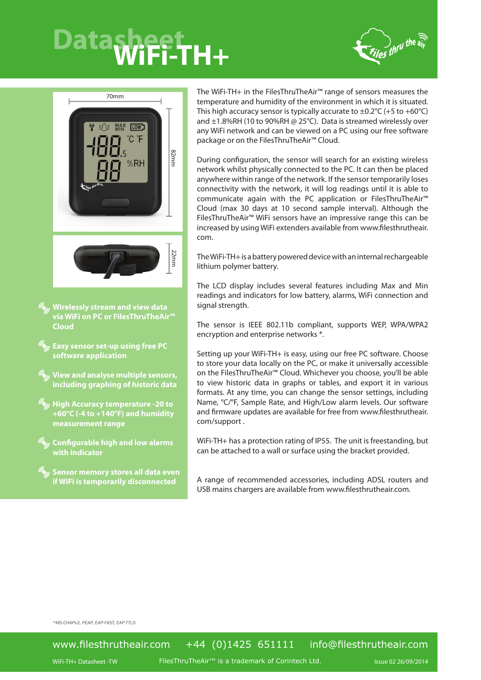## Datasheet<sub>H+</sub>





**Wirelessly stream and view data via WiFi on PC or FilesThruTheAir™ Cloud**

**Easy sensor set-up using free PC software application**

**View and analyse multiple sensors, including graphing of historic data**

**High Accuracy temperature -20 to +60°C (-4 to +140°F) and humidity measurement range**

**Configurable high and low alarms with indicator**

**Sensor memory stores all data even if WiFi is temporarily disconnected**

The WiFi-TH+ in the FilesThruTheAir™ range of sensors measures the temperature and humidity of the environment in which it is situated. This high accuracy sensor is typically accurate to  $\pm 0.2^{\circ}$ C (+5 to +60 $^{\circ}$ C) and  $\pm$ 1.8%RH (10 to 90%RH @ 25°C). Data is streamed wirelessly over any WiFi network and can be viewed on a PC using our free software package or on the FilesThruTheAir™ Cloud.

During configuration, the sensor will search for an existing wireless network whilst physically connected to the PC. It can then be placed anywhere within range of the network. If the sensor temporarily loses connectivity with the network, it will log readings until it is able to communicate again with the PC application or FilesThruTheAir™ Cloud (max 30 days at 10 second sample interval). Although the FilesThruTheAir™ WiFi sensors have an impressive range this can be increased by using WiFi extenders available from www.filesthrutheair. com.

The WiFi-TH+ is a battery powered device with an internal rechargeable lithium polymer battery.

The LCD display includes several features including Max and Min readings and indicators for low battery, alarms, WiFi connection and signal strength.

The sensor is IEEE 802.11b compliant, supports WEP, WPA/WPA2 encryption and enterprise networks \*.

Setting up your WiFi-TH+ is easy, using our free PC software. Choose to store your data locally on the PC, or make it universally accessible on the FilesThruTheAir™ Cloud. Whichever you choose, you'll be able to view historic data in graphs or tables, and export it in various formats. At any time, you can change the sensor settings, including Name, °C/°F, Sample Rate, and High/Low alarm levels. Our software and firmware updates are available for free from www.filesthrutheair. com/support .

WiFi-TH+ has a protection rating of IP55. The unit is freestanding, but can be attached to a wall or surface using the bracket provided.

A range of recommended accessories, including ADSL routers and USB mains chargers are available from www.filesthrutheair.com.

*\*MS-CHAPv2, PEAP, EAP-FAST, EAP-TTLS*

## www.filesthrutheair.com +44 (0)1425 651111 info@filesthrutheair.com

WiFi-TH+ Datasheet -TW is a trademark of Corintech Ltd. The State 02 26/09/2014 Issue 02 26/09/2014